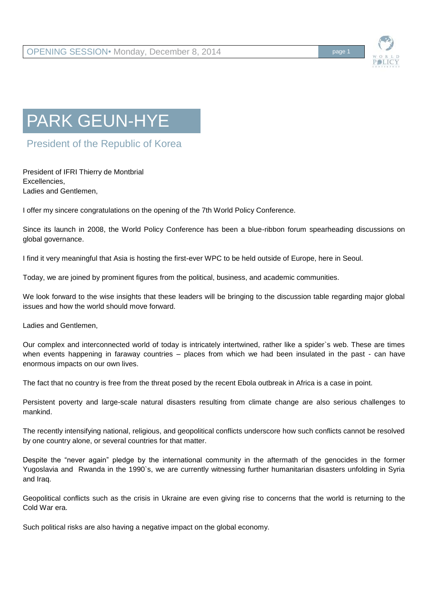

## PARK GEUN-HYE

President of the Republic of Korea

President of IFRI Thierry de Montbrial Excellencies, Ladies and Gentlemen,

I offer my sincere congratulations on the opening of the 7th World Policy Conference.

Since its launch in 2008, the World Policy Conference has been a blue-ribbon forum spearheading discussions on global governance.

I find it very meaningful that Asia is hosting the first-ever WPC to be held outside of Europe, here in Seoul.

Today, we are joined by prominent figures from the political, business, and academic communities.

We look forward to the wise insights that these leaders will be bringing to the discussion table regarding major global issues and how the world should move forward.

Ladies and Gentlemen,

Our complex and interconnected world of today is intricately intertwined, rather like a spider`s web. These are times when events happening in faraway countries – places from which we had been insulated in the past - can have enormous impacts on our own lives.

The fact that no country is free from the threat posed by the recent Ebola outbreak in Africa is a case in point.

Persistent poverty and large-scale natural disasters resulting from climate change are also serious challenges to mankind.

The recently intensifying national, religious, and geopolitical conflicts underscore how such conflicts cannot be resolved by one country alone, or several countries for that matter.

Despite the "never again" pledge by the international community in the aftermath of the genocides in the former Yugoslavia and Rwanda in the 1990`s, we are currently witnessing further humanitarian disasters unfolding in Syria and Iraq.

Geopolitical conflicts such as the crisis in Ukraine are even giving rise to concerns that the world is returning to the Cold War era.

Such political risks are also having a negative impact on the global economy.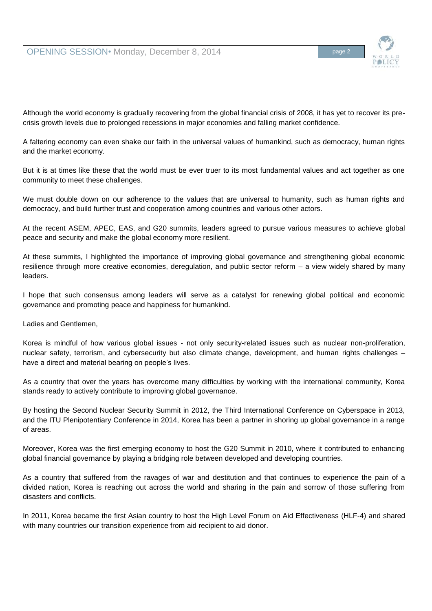Although the world economy is gradually recovering from the global financial crisis of 2008, it has yet to recover its precrisis growth levels due to prolonged recessions in major economies and falling market confidence.

A faltering economy can even shake our faith in the universal values of humankind, such as democracy, human rights and the market economy.

But it is at times like these that the world must be ever truer to its most fundamental values and act together as one community to meet these challenges.

We must double down on our adherence to the values that are universal to humanity, such as human rights and democracy, and build further trust and cooperation among countries and various other actors.

At the recent ASEM, APEC, EAS, and G20 summits, leaders agreed to pursue various measures to achieve global peace and security and make the global economy more resilient.

At these summits, I highlighted the importance of improving global governance and strengthening global economic resilience through more creative economies, deregulation, and public sector reform – a view widely shared by many leaders.

I hope that such consensus among leaders will serve as a catalyst for renewing global political and economic governance and promoting peace and happiness for humankind.

Ladies and Gentlemen,

Korea is mindful of how various global issues - not only security-related issues such as nuclear non-proliferation, nuclear safety, terrorism, and cybersecurity but also climate change, development, and human rights challenges – have a direct and material bearing on people's lives.

As a country that over the years has overcome many difficulties by working with the international community, Korea stands ready to actively contribute to improving global governance.

By hosting the Second Nuclear Security Summit in 2012, the Third International Conference on Cyberspace in 2013, and the ITU Plenipotentiary Conference in 2014, Korea has been a partner in shoring up global governance in a range of areas.

Moreover, Korea was the first emerging economy to host the G20 Summit in 2010, where it contributed to enhancing global financial governance by playing a bridging role between developed and developing countries.

As a country that suffered from the ravages of war and destitution and that continues to experience the pain of a divided nation, Korea is reaching out across the world and sharing in the pain and sorrow of those suffering from disasters and conflicts.

In 2011, Korea became the first Asian country to host the High Level Forum on Aid Effectiveness (HLF-4) and shared with many countries our transition experience from aid recipient to aid donor.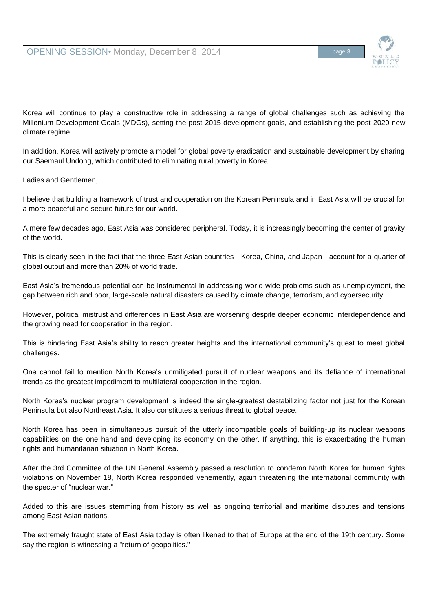

Korea will continue to play a constructive role in addressing a range of global challenges such as achieving the Millenium Development Goals (MDGs), setting the post-2015 development goals, and establishing the post-2020 new climate regime.

In addition, Korea will actively promote a model for global poverty eradication and sustainable development by sharing our Saemaul Undong, which contributed to eliminating rural poverty in Korea.

Ladies and Gentlemen,

I believe that building a framework of trust and cooperation on the Korean Peninsula and in East Asia will be crucial for a more peaceful and secure future for our world.

A mere few decades ago, East Asia was considered peripheral. Today, it is increasingly becoming the center of gravity of the world.

This is clearly seen in the fact that the three East Asian countries - Korea, China, and Japan - account for a quarter of global output and more than 20% of world trade.

East Asia's tremendous potential can be instrumental in addressing world-wide problems such as unemployment, the gap between rich and poor, large-scale natural disasters caused by climate change, terrorism, and cybersecurity.

However, political mistrust and differences in East Asia are worsening despite deeper economic interdependence and the growing need for cooperation in the region.

This is hindering East Asia's ability to reach greater heights and the international community's quest to meet global challenges.

One cannot fail to mention North Korea's unmitigated pursuit of nuclear weapons and its defiance of international trends as the greatest impediment to multilateral cooperation in the region.

North Korea's nuclear program development is indeed the single-greatest destabilizing factor not just for the Korean Peninsula but also Northeast Asia. It also constitutes a serious threat to global peace.

North Korea has been in simultaneous pursuit of the utterly incompatible goals of building-up its nuclear weapons capabilities on the one hand and developing its economy on the other. If anything, this is exacerbating the human rights and humanitarian situation in North Korea.

After the 3rd Committee of the UN General Assembly passed a resolution to condemn North Korea for human rights violations on November 18, North Korea responded vehemently, again threatening the international community with the specter of "nuclear war."

Added to this are issues stemming from history as well as ongoing territorial and maritime disputes and tensions among East Asian nations.

The extremely fraught state of East Asia today is often likened to that of Europe at the end of the 19th century. Some say the region is witnessing a "return of geopolitics."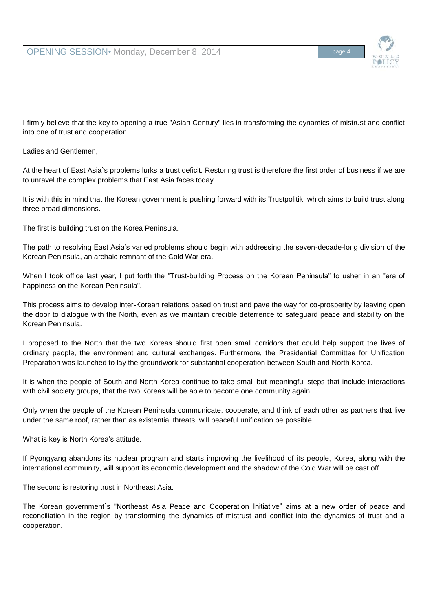I firmly believe that the key to opening a true "Asian Century" lies in transforming the dynamics of mistrust and conflict into one of trust and cooperation.

Ladies and Gentlemen,

At the heart of East Asia`s problems lurks a trust deficit. Restoring trust is therefore the first order of business if we are to unravel the complex problems that East Asia faces today.

It is with this in mind that the Korean government is pushing forward with its Trustpolitik, which aims to build trust along three broad dimensions.

The first is building trust on the Korea Peninsula.

The path to resolving East Asia's varied problems should begin with addressing the seven-decade-long division of the Korean Peninsula, an archaic remnant of the Cold War era.

When I took office last year, I put forth the "Trust-building Process on the Korean Peninsula" to usher in an "era of happiness on the Korean Peninsula".

This process aims to develop inter-Korean relations based on trust and pave the way for co-prosperity by leaving open the door to dialogue with the North, even as we maintain credible deterrence to safeguard peace and stability on the Korean Peninsula.

I proposed to the North that the two Koreas should first open small corridors that could help support the lives of ordinary people, the environment and cultural exchanges. Furthermore, the Presidential Committee for Unification Preparation was launched to lay the groundwork for substantial cooperation between South and North Korea.

It is when the people of South and North Korea continue to take small but meaningful steps that include interactions with civil society groups, that the two Koreas will be able to become one community again.

Only when the people of the Korean Peninsula communicate, cooperate, and think of each other as partners that live under the same roof, rather than as existential threats, will peaceful unification be possible.

What is key is North Korea's attitude.

If Pyongyang abandons its nuclear program and starts improving the livelihood of its people, Korea, along with the international community, will support its economic development and the shadow of the Cold War will be cast off.

The second is restoring trust in Northeast Asia.

The Korean government`s "Northeast Asia Peace and Cooperation Initiative" aims at a new order of peace and reconciliation in the region by transforming the dynamics of mistrust and conflict into the dynamics of trust and a cooperation.